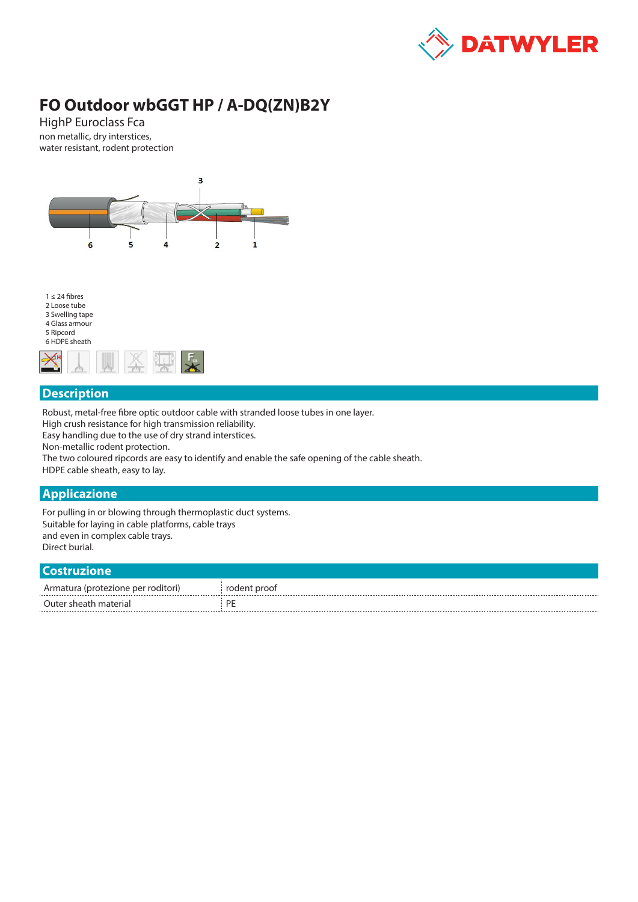

# **FO Outdoor wbGGT HP / A-DQ(ZN)B2Y**

HighP Euroclass Fca non metallic, dry interstices, water resistant, rodent protection





### **Description**

Robust, metal-free fibre optic outdoor cable with stranded loose tubes in one layer.

High crush resistance for high transmission reliability.

Easy handling due to the use of dry strand interstices.

Non-metallic rodent protection.

The two coloured ripcords are easy to identify and enable the safe opening of the cable sheath.

HDPE cable sheath, easy to lay.

#### **Applicazione**

For pulling in or blowing through thermoplastic duct systems. Suitable for laying in cable platforms, cable trays and even in complex cable trays. Direct burial.

#### **Costruzione**

| ---------------                    |              |
|------------------------------------|--------------|
| Armatura (protezione per roditori) | rodent proof |
| Outer sheath material              | DĽ           |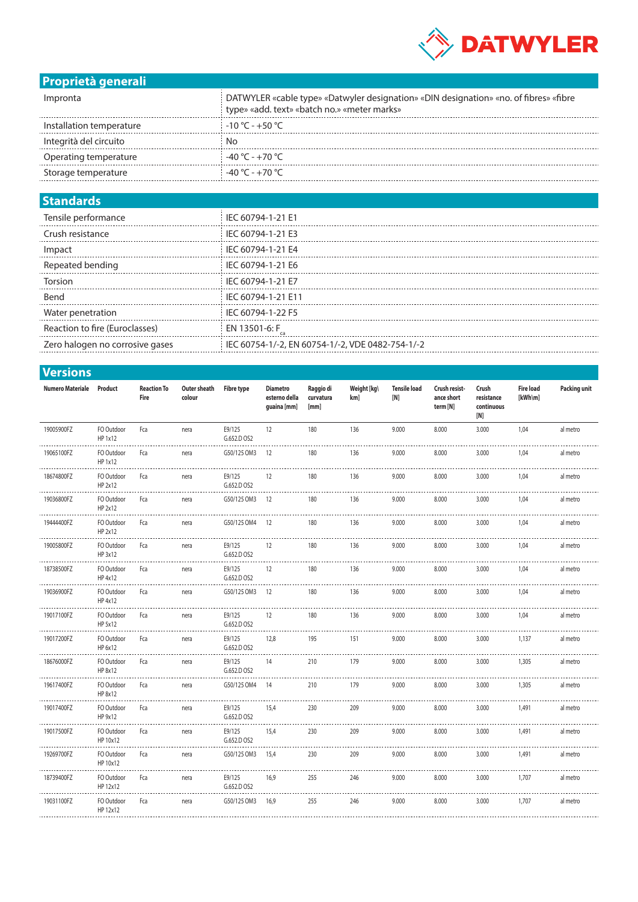

## **Proprietà generali**

| Impronta                 | DATWYLER «cable type» «Datwyler designation» «DIN designation» «no. of fibres» «fibre<br>type» «add. text» «batch no.» «meter marks» |
|--------------------------|--------------------------------------------------------------------------------------------------------------------------------------|
| Installation temperature | $-10\degree$ C - +50 $\degree$ C                                                                                                     |
| Integrità del circuito   | No                                                                                                                                   |
| Operating temperature    | $-40\degree$ C - $+70\degree$ C                                                                                                      |
| Storage temperature      | $-40\degree$ C - $+70\degree$ C                                                                                                      |

#### **Standards**

| Tensile performance             | IEC 60794-1-21 E1                                |
|---------------------------------|--------------------------------------------------|
| Crush resistance                | IEC 60794-1-21 E3                                |
| Impac                           | IEC 60794-1-21 E4                                |
| Repeated bending                | IEC 60794-1-21 E6                                |
| Torsion                         | IEC 60794-1-21 E7                                |
| Bend                            | IEC 60794-1-21 E11                               |
| Water penetration               | IEC 60794-1-22 F5                                |
| Reaction to fire (Euroclasses)  | EN 13501-6: F                                    |
| Zero halogen no corrosive gases | IEC 60754-1/-2, EN 60754-1/-2, VDE 0482-754-1/-2 |
|                                 |                                                  |

|  | <b>Versions</b> |
|--|-----------------|
|  |                 |

| Numero Materiale Product |                        | <b>Reaction To</b><br>Fire | Outer sheath<br>colour | <b>Fibre type</b>     | <b>Diametro</b><br>esterno della<br>guaina [mm] | Raggio di<br>curvatura<br>[mm] | Weight [kg\<br>km] | <b>Tensile load</b><br>[N] | Crush resist-<br>ance short<br>term [N] | Crush<br>resistance<br>continuous<br>[N] | <b>Fire load</b><br>$[kWh\m]$ | <b>Packing unit</b> |
|--------------------------|------------------------|----------------------------|------------------------|-----------------------|-------------------------------------------------|--------------------------------|--------------------|----------------------------|-----------------------------------------|------------------------------------------|-------------------------------|---------------------|
| 19005900FZ               | FO Outdoor<br>HP 1x12  | Fca                        | nera                   | E9/125<br>G.652.D OS2 | 12                                              | 180                            | 136                | 9.000                      | 8.000                                   | 3.000                                    | 1,04                          | al metro            |
| 19065100FZ               | FO Outdoor<br>HP 1x12  | Fca                        | nera                   | G50/125 OM3           | 12                                              | 180                            | 136                | 9.000                      | 8.000                                   | 3.000                                    | 1,04                          | al metro            |
| 18674800FZ               | FO Outdoor<br>HP 2x12  | Fca                        | nera                   | E9/125<br>G.652.D OS2 | 12                                              | 180                            | 136                | 9.000                      | 8.000                                   | 3.000                                    | 1,04                          | al metro            |
| 19036800FZ               | FO Outdoor<br>HP 2x12  | Fca                        | nera                   | G50/125 OM3 12        |                                                 | 180                            | 136                | 9.000                      | 8.000                                   | 3.000                                    | 1,04                          | al metro            |
| 19444400FZ               | FO Outdoor<br>HP 2x12  | Fca                        | nera                   | G50/125 OM4 12        |                                                 | 180                            | 136                | 9.000                      | 8.000                                   | 3.000                                    | 1,04                          | al metro            |
| 19005800FZ               | FO Outdoor<br>HP 3x12  | Fca                        | nera                   | E9/125<br>G.652.D OS2 | 12                                              | 180                            | 136                | 9.000                      | 8.000                                   | 3.000                                    | 1,04                          | al metro            |
| 18738500FZ               | FO Outdoor<br>HP 4x12  | Fca                        | nera                   | E9/125<br>G.652.D OS2 | 12                                              | 180                            | 136                | 9.000                      | 8.000                                   | 3.000                                    | 1,04                          | al metro            |
| 19036900FZ               | FO Outdoor<br>HP 4x12  | Fca                        | nera                   | G50/125 OM3 12        |                                                 | 180                            | 136                | 9.000                      | 8.000                                   | 3.000                                    | 1,04                          | al metro            |
| 19017100FZ               | FO Outdoor<br>HP 5x12  | Fca                        | nera                   | E9/125<br>G.652.D OS2 | 12                                              | 180                            | 136                | 9.000                      | 8.000                                   | 3.000                                    | 1,04                          | al metro            |
| 19017200FZ               | FO Outdoor<br>HP 6x12  | Fca                        | nera                   | E9/125<br>G.652.D OS2 | 12,8                                            | 195                            | 151                | 9.000                      | 8.000                                   | 3.000                                    | 1,137                         | al metro            |
| 18676000FZ               | FO Outdoor<br>HP 8x12  | Fca                        | nera                   | E9/125<br>G.652.D OS2 | 14                                              | 210                            | 179                | 9.000                      | 8.000                                   | 3.000                                    | 1,305                         | al metro            |
| 19617400FZ               | FO Outdoor<br>HP 8x12  | Fca                        | nera                   | G50/125 OM4           | - 14                                            | 210                            | 179                | 9.000                      | 8.000                                   | 3.000                                    | 1,305                         | al metro            |
| 19017400FZ               | FO Outdoor<br>HP 9x12  | Fca                        | nera                   | E9/125<br>G.652.D OS2 | 15,4                                            | 230                            | 209                | 9.000                      | 8.000                                   | 3.000                                    | 1,491                         | al metro            |
| 19017500FZ               | FO Outdoor<br>HP 10x12 | Fca                        | nera                   | E9/125<br>G.652.D OS2 | 15,4                                            | 230                            | 209                | 9.000                      | 8.000                                   | 3.000                                    | 1,491                         | al metro            |
| 19269700FZ               | FO Outdoor<br>HP 10x12 | Fca                        | nera                   | G50/125 OM3           | 15,4                                            | 230                            | 209                | 9.000                      | 8.000                                   | 3.000                                    | 1,491                         | al metro            |
| 18739400FZ               | FO Outdoor<br>HP 12x12 | Fca                        | nera                   | E9/125<br>G.652.D OS2 | 16,9                                            | 255                            | 246                | 9.000                      | 8.000                                   | 3.000                                    | 1,707                         | al metro            |
| 19031100FZ               | FO Outdoor<br>HP 12x12 | Fca                        | nera                   | G50/125 OM3           | 16,9                                            | 255                            | 246                | 9.000                      | 8.000                                   | 3.000                                    | 1,707                         | al metro            |